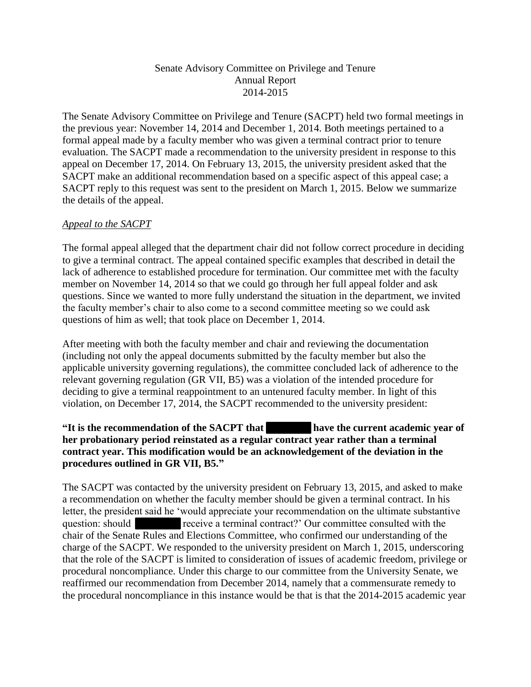## Senate Advisory Committee on Privilege and Tenure Annual Report 2014-2015

The Senate Advisory Committee on Privilege and Tenure (SACPT) held two formal meetings in the previous year: November 14, 2014 and December 1, 2014. Both meetings pertained to a formal appeal made by a faculty member who was given a terminal contract prior to tenure evaluation. The SACPT made a recommendation to the university president in response to this appeal on December 17, 2014. On February 13, 2015, the university president asked that the SACPT make an additional recommendation based on a specific aspect of this appeal case; a SACPT reply to this request was sent to the president on March 1, 2015. Below we summarize the details of the appeal.

## *Appeal to the SACPT*

The formal appeal alleged that the department chair did not follow correct procedure in deciding to give a terminal contract. The appeal contained specific examples that described in detail the lack of adherence to established procedure for termination. Our committee met with the faculty member on November 14, 2014 so that we could go through her full appeal folder and ask questions. Since we wanted to more fully understand the situation in the department, we invited the faculty member's chair to also come to a second committee meeting so we could ask questions of him as well; that took place on December 1, 2014.

After meeting with both the faculty member and chair and reviewing the documentation (including not only the appeal documents submitted by the faculty member but also the applicable university governing regulations), the committee concluded lack of adherence to the relevant governing regulation (GR VII, B5) was a violation of the intended procedure for deciding to give a terminal reappointment to an untenured faculty member. In light of this violation, on December 17, 2014, the SACPT recommended to the university president:

## **"It is the recommendation of the SACPT that have the current academic year of her probationary period reinstated as a regular contract year rather than a terminal contract year. This modification would be an acknowledgement of the deviation in the procedures outlined in GR VII, B5."**

The SACPT was contacted by the university president on February 13, 2015, and asked to make a recommendation on whether the faculty member should be given a terminal contract. In his letter, the president said he 'would appreciate your recommendation on the ultimate substantive question: should receive a terminal contract?' Our committee consulted with the chair of the Senate Rules and Elections Committee, who confirmed our understanding of the charge of the SACPT. We responded to the university president on March 1, 2015, underscoring that the role of the SACPT is limited to consideration of issues of academic freedom, privilege or procedural noncompliance. Under this charge to our committee from the University Senate, we reaffirmed our recommendation from December 2014, namely that a commensurate remedy to the procedural noncompliance in this instance would be that is that the 2014-2015 academic year